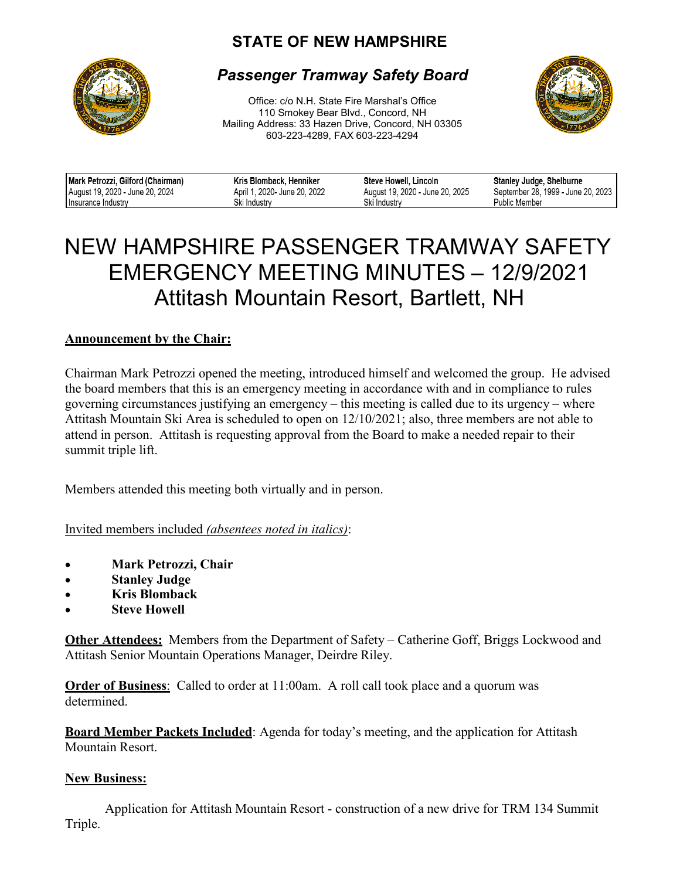## **STATE OF NEW HAMPSHIRE**



### *Passenger Tramway Safety Board*

Office: c/o N.H. State Fire Marshal's Office 110 Smokey Bear Blvd., Concord, NH Mailing Address: 33 Hazen Drive, Concord, NH 03305 603-223-4289, FAX 603-223-4294



| Mark Petrozzi, Gilford (Chairman) | Kris Blomback, Henniker     | Steve Howell, Lincoln           | Stanley Judge, Shelburne           |
|-----------------------------------|-----------------------------|---------------------------------|------------------------------------|
| August 19, 2020 - June 20, 2024   | April 1, 2020 June 20, 2022 | August 19, 2020 - June 20, 2025 | September 28, 1999 - June 20, 2023 |
| Insurance Industry                | Ski Industrv                | Ski Industrv                    | Public Member                      |

# NEW HAMPSHIRE PASSENGER TRAMWAY SAFETY EMERGENCY MEETING MINUTES – 12/9/2021 Attitash Mountain Resort, Bartlett, NH

### **Announcement by the Chair:**

Chairman Mark Petrozzi opened the meeting, introduced himself and welcomed the group. He advised the board members that this is an emergency meeting in accordance with and in compliance to rules governing circumstances justifying an emergency – this meeting is called due to its urgency – where Attitash Mountain Ski Area is scheduled to open on 12/10/2021; also, three members are not able to attend in person. Attitash is requesting approval from the Board to make a needed repair to their summit triple lift.

Members attended this meeting both virtually and in person.

Invited members included *(absentees noted in italics)*:

- **Mark Petrozzi, Chair**
- **Stanley Judge**
- **Kris Blomback**
- **Steve Howell**

**Other Attendees:** Members from the Department of Safety – Catherine Goff, Briggs Lockwood and Attitash Senior Mountain Operations Manager, Deirdre Riley.

**Order of Business**: Called to order at 11:00am. A roll call took place and a quorum was determined.

**Board Member Packets Included**: Agenda for today's meeting, and the application for Attitash Mountain Resort.

#### **New Business:**

Application for Attitash Mountain Resort - construction of a new drive for TRM 134 Summit Triple.